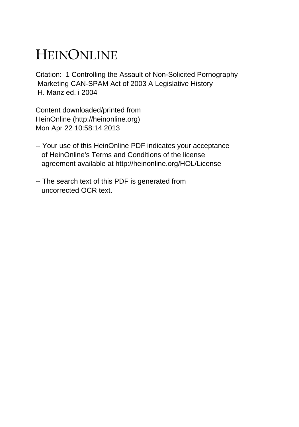## HEINONLINE

Citation: 1 Controlling the Assault of Non-Solicited Pornography Marketing CAN-SPAM Act of 2003 A Legislative History H. Manz ed. i 2004

Content downloaded/printed from HeinOnline (http://heinonline.org) Mon Apr 22 10:58:14 2013

- -- Your use of this HeinOnline PDF indicates your acceptance of HeinOnline's Terms and Conditions of the license agreement available at http://heinonline.org/HOL/License
- -- The search text of this PDF is generated from uncorrected OCR text.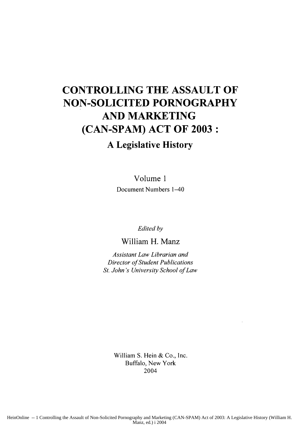## **CONTROLLING THE ASSAULT OF NON-SOLICITED PORNOGRAPHY AND MARKETING (CAN-SPAM) ACT OF 2003:**

## **A Legislative History**

Volume **1** Document Numbers 1-40

*Edited by*

William H. Manz

*Assistant Law Librarian and Director of Student Publications St. John's University School of Law*

> William **S. Hein &** Co., Inc. Buffalo, New York 2004